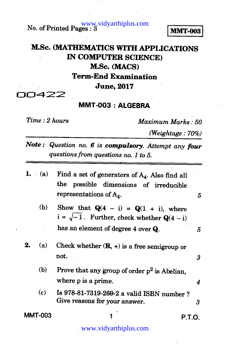**No. of Printed Pages : 3 MMT-003** 

# **M.Sc. (MATHEMATICS WITH APPLICATIONS IN COMPUTER SCIENCE) M.Sc. (MACS) Term-End Examination June, 2017**

30422

### **MMT-003 : ALGEBRA**

*Time : 2 hours Maximum Marks : 50* 

*(Weightage : 70%)* 

*Note : Question no. 6 is compulsory. Attempt any four questions from questions no. 1 to 5.* 

- *1. (a)* **Find a set of generators of A4. Also find all the possible dimensions of irreducible**  representations of  $A_4$ .
	- (b) Show that  $Q(4 i) = Q(1 + i)$ , where  $i = \sqrt{-1}$ . Further, check whether  $Q(4 - i)$ **has an element of degree 4 over Q.**
- **2. (a) Check whether (R, +) is a free semigroup or not.** 
	- (b) Prove that any group of order  $p^2$  is Abelian, **where p is a prime.**
	- **(c) Is 978-81-7319-269-2 a valid ISBN number ?**  Give reasons for your answer. **3** 3

**MMT-003** 1 **P.T.O.** 

#### www.vidyarthiplus.com

 $\boldsymbol{4}$ 

5

5

3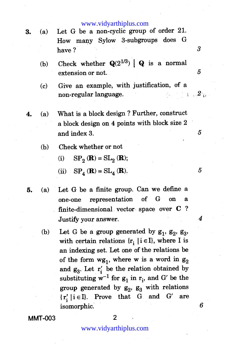#### www.vidyarthiplus.com

- 
- **3.** (a) Let G be a non-cyclic group of order 21. How many Sylow 3-subgroups does G have ?
	- (b) Check whether  $Q(2^{1/3})$  | Q is a normal extension or not.
	- (c) Give an example, with justification, of a non-regular language.
- **4.** (a) What is a block design ? Further, construct a block design on 4 points with block size 2 and index 3.
	- (b) Check whether or not
		- (i)  $SP_2(\mathbf{R}) = SL_2(\mathbf{R});$
		- (ii)  $SP<sub>A</sub>(\mathbf{R}) = SL<sub>A</sub>(\mathbf{R})$ .
- **5.** (a) Let G be a finite group. Can we define a one-one representation of G on a finite-dimensional vector space over C ? Justify your answer.
	- (b) Let G be a group generated by  $g_1$ ,  $g_2$ ,  $g_3$ , with certain relations  $\{r_i \mid i \in I\}$ , where I is an indexing set. Let one of the relations be of the form  $wg_1$ , where w is a word in  $g_2$ and  $g_3$ . Let  $r'_i$  be the relation obtained by substituting  $w^{-1}$  for  $g_1$  in  $r_i$ , and G' be the group generated by  $g_2$ ,  $g_3$  with relations  $\{r'_i \mid i \in I\}$ . Prove that G and G' are isomorphic.

**MMT-003 2** 

6

3

5

 $2^{\scriptscriptstyle{\mathrm{L}}}$ 

5

5

 $\boldsymbol{4}$